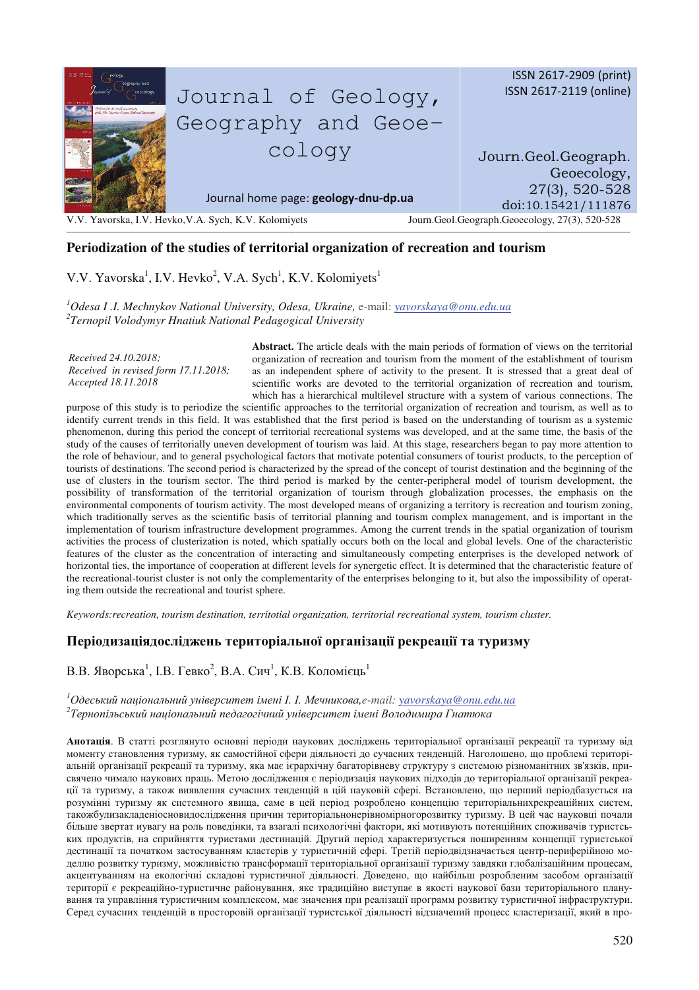

## **Periodization of the studies of territorial organization of recreation and tourism**

V.V. Yavorska<sup>1</sup>, I.V. Hevko<sup>2</sup>, V.A. Sych<sup>1</sup>, K.V. Kolomiyets<sup>1</sup>

*<sup>1</sup>Odesa I .I. Mechnykov National University, Odesa, Ukraine,* e-mail: *yavorskaya@onu.edu.ua 2 Ternopil Volodymyr Hnatiuk National Pedagogical University* 

*Received 24.10.2018; Received in revised form 17.11.2018; Accepted 18.11.2018* 

**Abstract.** The article deals with the main periods of formation of views on the territorial organization of recreation and tourism from the moment of the establishment of tourism as an independent sphere of activity to the present. It is stressed that a great deal of scientific works are devoted to the territorial organization of recreation and tourism, which has a hierarchical multilevel structure with a system of various connections. The

purpose of this study is to periodize the scientific approaches to the territorial organization of recreation and tourism, as well as to identify current trends in this field. It was established that the first period is based on the understanding of tourism as a systemic phenomenon, during this period the concept of territorial recreational systems was developed, and at the same time, the basis of the study of the causes of territorially uneven development of tourism was laid. At this stage, researchers began to pay more attention to the role of behaviour, and to general psychological factors that motivate potential consumers of tourist products, to the perception of tourists of destinations. The second period is characterized by the spread of the concept of tourist destination and the beginning of the use of clusters in the tourism sector. The third period is marked by the center-peripheral model of tourism development, the possibility of transformation of the territorial organization of tourism through globalization processes, the emphasis on the environmental components of tourism activity. The most developed means of organizing a territory is recreation and tourism zoning, which traditionally serves as the scientific basis of territorial planning and tourism complex management, and is important in the implementation of tourism infrastructure development programmes. Among the current trends in the spatial organization of tourism activities the process of clusterization is noted, which spatially occurs both on the local and global levels. One of the characteristic features of the cluster as the concentration of interacting and simultaneously competing enterprises is the developed network of horizontal ties, the importance of cooperation at different levels for synergetic effect. It is determined that the characteristic feature of the recreational-tourist cluster is not only the complementarity of the enterprises belonging to it, but also the impossibility of operating them outside the recreational and tourist sphere.

*Keywords:recreation, tourism destination, territotial organization, territorial recreational system, tourism cluster.* 

## Періодизаціядосліджень територіальної організації рекреації та туризму

В.В. Яворська<sup>1</sup>, І.В. Гевко<sup>2</sup>, В.А. Сич<sup>1</sup>, К.В. Коломієць<sup>1</sup>

 $^{\textit{l}}$ Одеський національний університет імені І. І. Мечникова,е-mail: <u>yavorskaya@onu.edu.ua</u>  $^2$ Тернопільський національний педагогічний університет імені Володимира Гнатюка

Анотація. В статті розглянуто основні періоди наукових досліджень територіальної організації рекреації та туризму від моменту становлення туризму, як самостійної сфери діяльності до сучасних тенденцій. Наголошено, що проблемі територіальній організації рекреації та туризму, яка має ієрархічну багаторівневу структуру з системою різноманітних зв'язків, присвячено чимало наукових праць. Метою дослідження є періодизація наукових підходів до територіальної організації рекреації та туризму, а також виявлення сучасних тенденцій в цій науковій сфері. Встановлено, що перший періодбазується на розумінні туризму як системного явища, саме в цей період розроблено концепцію територіальнихрекреаційних систем, такожбулизакладеніосновидослідження причин територіальнонерівномірногорозвитку туризму. В цей час науковці почали більше звертат иувагу на роль поведінки, та взагалі психологічні фактори, які мотивують потенційних споживачів туристських продуктів, на сприйняття туристами дестинацій. Другий період характеризується поширенням концепції туристської дестинації та початком застосуванням кластерів у туристичній сфері. Третій періодвідзначається центр-периферійною моделлю розвитку туризму, можливістю трансформації територіальної організації туризму завдяки глобалізаційним процесам, акцентуванням на екологічні складові туристичної діяльності. Доведено, що найбільш розробленим засобом організації території є рекреаційно-туристичне районування, яке традиційно виступає в якості наукової бази територіального планування та управління туристичним комплексом, має значення при реалізації программ розвитку туристичної інфраструктури. Серед сучасних тенденцій в просторовій організації туристської діяльності відзначений процесс кластеризації, який в про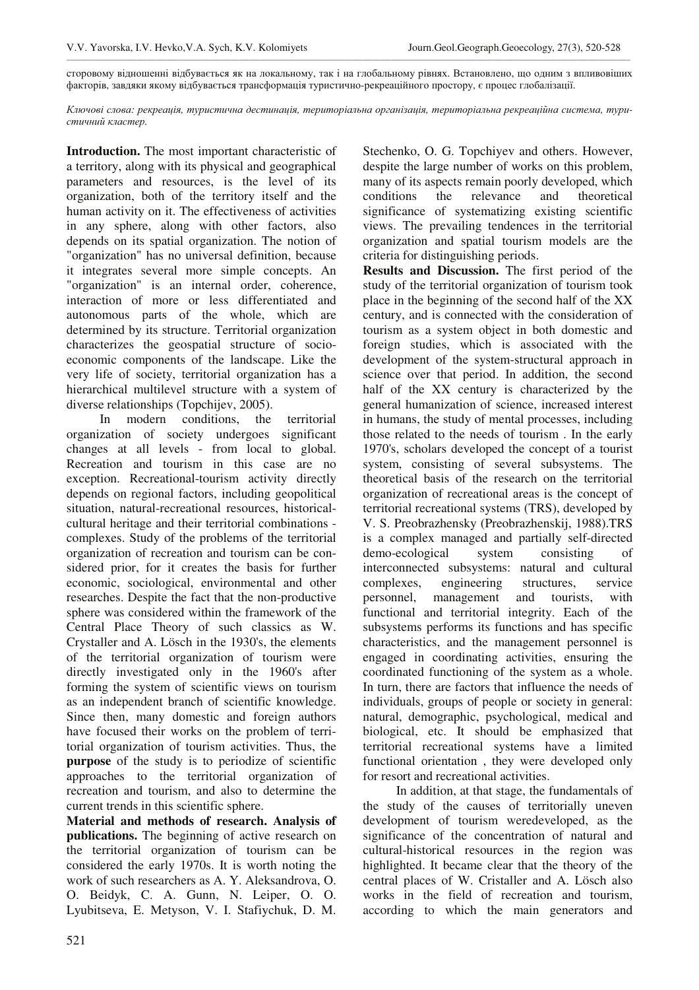\_\_\_\_\_\_\_\_\_\_\_\_\_\_\_\_\_\_\_\_\_\_\_\_\_\_\_\_\_\_\_\_\_\_\_\_\_\_\_\_\_\_\_\_\_\_\_\_\_\_\_\_\_\_\_\_\_\_\_\_\_\_\_\_\_\_\_\_\_\_\_\_\_\_\_\_\_\_\_\_\_\_\_\_\_\_\_\_\_\_\_\_\_\_\_\_\_\_\_\_\_\_\_\_\_\_\_\_\_\_\_\_\_\_\_\_\_\_\_\_\_\_\_\_\_\_\_\_\_\_\_\_\_\_\_\_\_\_\_\_\_\_\_\_\_\_\_\_\_\_\_\_\_\_\_\_\_\_\_\_ сторовому відношенні відбувається як на локальному, так і на глобальному рівнях. Встановлено, що одним з впливовіших факторів, завдяки якому відбувається трансформація туристично-рекреаційного простору, є процес глобалізації.

 $K$ лючові слова: рекреація, туристична дестинація, територіальна організація, територіальна рекреаційна система, тури*стичний кластер.* 

**Introduction.** The most important characteristic of a territory, along with its physical and geographical parameters and resources, is the level of its organization, both of the territory itself and the human activity on it. The effectiveness of activities in any sphere, along with other factors, also depends on its spatial organization. The notion of "organization" has no universal definition, because it integrates several more simple concepts. An "organization" is an internal order, coherence, interaction of more or less differentiated and autonomous parts of the whole, which are determined by its structure. Territorial organization characterizes the geospatial structure of socioeconomic components of the landscape. Like the very life of society, territorial organization has a hierarchical multilevel structure with a system of diverse relationships (Topchijev, 2005).

In modern conditions, the territorial organization of society undergoes significant changes at all levels - from local to global. Recreation and tourism in this case are no exception. Recreational-tourism activity directly depends on regional factors, including geopolitical situation, natural-recreational resources, historicalcultural heritage and their territorial combinations complexes. Study of the problems of the territorial organization of recreation and tourism can be considered prior, for it creates the basis for further economic, sociological, environmental and other researches. Despite the fact that the non-productive sphere was considered within the framework of the Central Place Theory of such classics as W. Crystaller and A. Lösch in the 1930's, the elements of the territorial organization of tourism were directly investigated only in the 1960's after forming the system of scientific views on tourism as an independent branch of scientific knowledge. Since then, many domestic and foreign authors have focused their works on the problem of territorial organization of tourism activities. Thus, the **purpose** of the study is to periodize of scientific approaches to the territorial organization of recreation and tourism, and also to determine the current trends in this scientific sphere.

**Material and methods of research. Analysis of publications.** The beginning of active research on the territorial organization of tourism can be considered the early 1970s. It is worth noting the work of such researchers as A. Y. Aleksandrova, O. O. Beidyk, C. A. Gunn, N. Leiper, O. O. Lyubitseva, E. Metyson, V. I. Stafiychuk, D. M.

Stechenko, O. G. Topchiyev and others. However, despite the large number of works on this problem, many of its aspects remain poorly developed, which conditions the relevance and theoretical significance of systematizing existing scientific views. The prevailing tendences in the territorial organization and spatial tourism models are the criteria for distinguishing periods.

**Results and Discussion.** The first period of the study of the territorial organization of tourism took place in the beginning of the second half of the XX century, and is connected with the consideration of tourism as a system object in both domestic and foreign studies, which is associated with the development of the system-structural approach in science over that period. In addition, the second half of the XX century is characterized by the general humanization of science, increased interest in humans, the study of mental processes, including those related to the needs of tourism . In the early 1970's, scholars developed the concept of a tourist system, consisting of several subsystems. The theoretical basis of the research on the territorial organization of recreational areas is the concept of territorial recreational systems (TRS), developed by V. S. Preobrazhensky (Preobrazhenskij, 1988).TRS is a complex managed and partially self-directed demo-ecological system consisting of interconnected subsystems: natural and cultural complexes, engineering structures, service personnel, management and tourists, with functional and territorial integrity. Each of the subsystems performs its functions and has specific characteristics, and the management personnel is engaged in coordinating activities, ensuring the coordinated functioning of the system as a whole. In turn, there are factors that influence the needs of individuals, groups of people or society in general: natural, demographic, psychological, medical and biological, etc. It should be emphasized that territorial recreational systems have a limited functional orientation , they were developed only for resort and recreational activities.

In addition, at that stage, the fundamentals of the study of the causes of territorially uneven development of tourism weredeveloped, as the significance of the concentration of natural and cultural-historical resources in the region was highlighted. It became clear that the theory of the central places of W. Cristaller and A. Lösch also works in the field of recreation and tourism, according to which the main generators and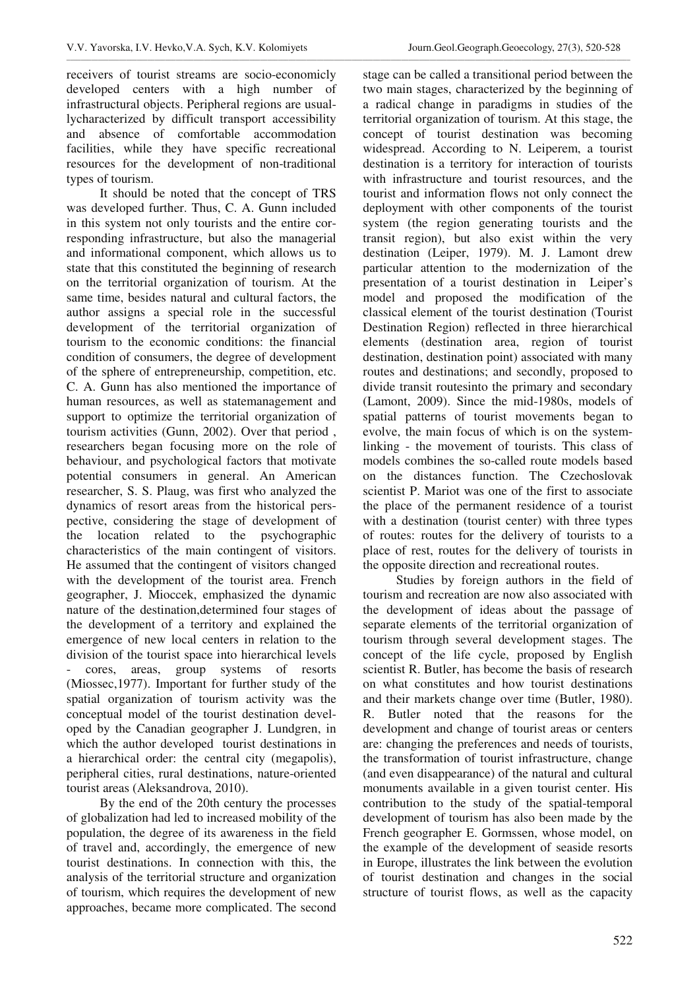receivers of tourist streams are socio-economicly developed centers with a high number of infrastructural objects. Peripheral regions are usuallycharacterized by difficult transport accessibility and absence of comfortable accommodation facilities, while they have specific recreational resources for the development of non-traditional types of tourism.

\_\_\_\_\_\_\_\_\_\_\_\_\_\_\_\_\_\_\_\_\_\_\_\_\_\_\_\_\_\_\_\_\_\_\_\_\_\_\_\_\_\_\_\_\_\_\_\_\_\_\_\_\_\_\_\_\_\_\_\_\_\_\_\_\_\_\_\_\_\_\_\_\_\_\_\_\_\_\_\_\_\_\_\_\_\_\_\_\_\_\_\_\_\_\_\_\_\_\_\_\_\_\_\_\_\_\_\_\_\_\_\_\_\_\_\_\_\_\_\_\_\_\_\_\_\_\_\_\_\_\_\_\_\_\_\_\_\_\_\_\_\_\_\_\_\_\_\_\_\_\_\_\_\_\_\_\_\_\_\_

It should be noted that the concept of TRS was developed further. Thus, C. A. Gunn included in this system not only tourists and the entire corresponding infrastructure, but also the managerial and informational component, which allows us to state that this constituted the beginning of research on the territorial organization of tourism. At the same time, besides natural and cultural factors, the author assigns a special role in the successful development of the territorial organization of tourism to the economic conditions: the financial condition of consumers, the degree of development of the sphere of entrepreneurship, competition, etc. C. A. Gunn has also mentioned the importance of human resources, as well as statemanagement and support to optimize the territorial organization of tourism activities (Gunn, 2002). Over that period , researchers began focusing more on the role of behaviour, and psychological factors that motivate potential consumers in general. An American researcher, S. S. Plaug, was first who analyzed the dynamics of resort areas from the historical perspective, considering the stage of development of the location related to the psychographic characteristics of the main contingent of visitors. He assumed that the contingent of visitors changed with the development of the tourist area. French geographer, J. Mioccek, emphasized the dynamic nature of the destination,determined four stages of the development of a territory and explained the emergence of new local centers in relation to the division of the tourist space into hierarchical levels - cores, areas, group systems of resorts (Miossec,1977). Important for further study of the spatial organization of tourism activity was the conceptual model of the tourist destination developed by the Canadian geographer J. Lundgren, in which the author developed tourist destinations in a hierarchical order: the central city (megapolis), peripheral cities, rural destinations, nature-oriented tourist areas (Aleksandrova, 2010).

By the end of the 20th century the processes of globalization had led to increased mobility of the population, the degree of its awareness in the field of travel and, accordingly, the emergence of new tourist destinations. In connection with this, the analysis of the territorial structure and organization of tourism, which requires the development of new approaches, became more complicated. The second

stage can be called a transitional period between the two main stages, characterized by the beginning of a radical change in paradigms in studies of the territorial organization of tourism. At this stage, the concept of tourist destination was becoming widespread. According to N. Leiperem, a tourist destination is a territory for interaction of tourists with infrastructure and tourist resources, and the tourist and information flows not only connect the deployment with other components of the tourist system (the region generating tourists and the transit region), but also exist within the very destination (Leiper, 1979). M. J. Lamont drew particular attention to the modernization of the presentation of a tourist destination in Leiper's model and proposed the modification of the classical element of the tourist destination (Tourist Destination Region) reflected in three hierarchical elements (destination area, region of tourist destination, destination point) associated with many routes and destinations; and secondly, proposed to divide transit routesinto the primary and secondary (Lamont, 2009). Since the mid-1980s, models of spatial patterns of tourist movements began to evolve, the main focus of which is on the systemlinking - the movement of tourists. This class of models combines the so-called route models based on the distances function. The Czechoslovak scientist P. Mariot was one of the first to associate the place of the permanent residence of a tourist with a destination (tourist center) with three types of routes: routes for the delivery of tourists to a place of rest, routes for the delivery of tourists in the opposite direction and recreational routes.

Studies by foreign authors in the field of tourism and recreation are now also associated with the development of ideas about the passage of separate elements of the territorial organization of tourism through several development stages. The concept of the life cycle, proposed by English scientist R. Butler, has become the basis of research on what constitutes and how tourist destinations and their markets change over time (Butler, 1980). R. Butler noted that the reasons for the development and change of tourist areas or centers are: changing the preferences and needs of tourists, the transformation of tourist infrastructure, change (and even disappearance) of the natural and cultural monuments available in a given tourist center. His contribution to the study of the spatial-temporal development of tourism has also been made by the French geographer E. Gormssen, whose model, on the example of the development of seaside resorts in Europe, illustrates the link between the evolution of tourist destination and changes in the social structure of tourist flows, as well as the capacity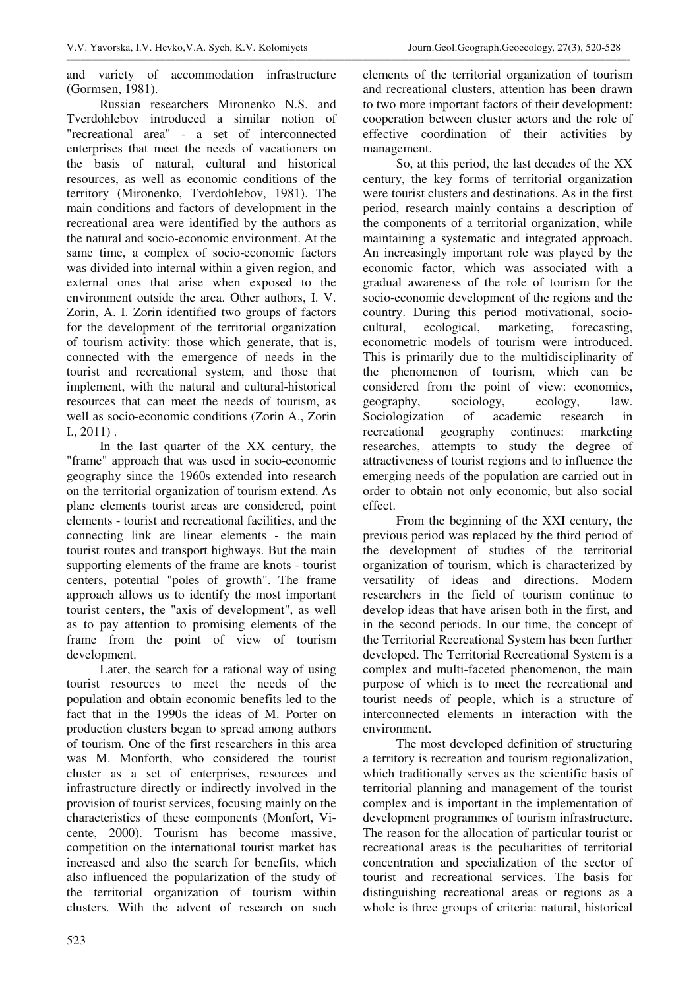and variety of accommodation infrastructure (Gormsen, 1981).

Russian researchers Mironenko N.S. and Tverdohlebov introduced a similar notion of "recreational area" - a set of interconnected enterprises that meet the needs of vacationers on the basis of natural, cultural and historical resources, as well as economic conditions of the territory (Mironenko, Tverdohlebov, 1981). The main conditions and factors of development in the recreational area were identified by the authors as the natural and socio-economic environment. At the same time, a complex of socio-economic factors was divided into internal within a given region, and external ones that arise when exposed to the environment outside the area. Other authors, I. V. Zorin, A. I. Zorin identified two groups of factors for the development of the territorial organization of tourism activity: those which generate, that is, connected with the emergence of needs in the tourist and recreational system, and those that implement, with the natural and cultural-historical resources that can meet the needs of tourism, as well as socio-economic conditions (Zorin A., Zorin I., 2011) .

In the last quarter of the XX century, the "frame" approach that was used in socio-economic geography since the 1960s extended into research on the territorial organization of tourism extend. As plane elements tourist areas are considered, point elements - tourist and recreational facilities, and the connecting link are linear elements - the main tourist routes and transport highways. But the main supporting elements of the frame are knots - tourist centers, potential "poles of growth". The frame approach allows us to identify the most important tourist centers, the "axis of development", as well as to pay attention to promising elements of the frame from the point of view of tourism development.

Later, the search for a rational way of using tourist resources to meet the needs of the population and obtain economic benefits led to the fact that in the 1990s the ideas of M. Porter on production clusters began to spread among authors of tourism. One of the first researchers in this area was M. Monforth, who considered the tourist cluster as a set of enterprises, resources and infrastructure directly or indirectly involved in the provision of tourist services, focusing mainly on the characteristics of these components (Monfort, Vicente, 2000). Tourism has become massive, competition on the international tourist market has increased and also the search for benefits, which also influenced the popularization of the study of the territorial organization of tourism within clusters. With the advent of research on such

elements of the territorial organization of tourism and recreational clusters, attention has been drawn to two more important factors of their development: cooperation between cluster actors and the role of effective coordination of their activities by management.

So, at this period, the last decades of the XX century, the key forms of territorial organization were tourist clusters and destinations. As in the first period, research mainly contains a description of the components of a territorial organization, while maintaining a systematic and integrated approach. An increasingly important role was played by the economic factor, which was associated with a gradual awareness of the role of tourism for the socio-economic development of the regions and the country. During this period motivational, sociocultural, ecological, marketing, forecasting, econometric models of tourism were introduced. This is primarily due to the multidisciplinarity of the phenomenon of tourism, which can be considered from the point of view: economics, geography, sociology, ecology, law. Sociologization of academic research in recreational geography continues: marketing researches, attempts to study the degree of attractiveness of tourist regions and to influence the emerging needs of the population are carried out in order to obtain not only economic, but also social effect.

From the beginning of the XXI century, the previous period was replaced by the third period of the development of studies of the territorial organization of tourism, which is characterized by versatility of ideas and directions. Modern researchers in the field of tourism continue to develop ideas that have arisen both in the first, and in the second periods. In our time, the concept of the Territorial Recreational System has been further developed. The Territorial Recreational System is a complex and multi-faceted phenomenon, the main purpose of which is to meet the recreational and tourist needs of people, which is a structure of interconnected elements in interaction with the environment.

The most developed definition of structuring a territory is recreation and tourism regionalization, which traditionally serves as the scientific basis of territorial planning and management of the tourist complex and is important in the implementation of development programmes of tourism infrastructure. The reason for the allocation of particular tourist or recreational areas is the peculiarities of territorial concentration and specialization of the sector of tourist and recreational services. The basis for distinguishing recreational areas or regions as a whole is three groups of criteria: natural, historical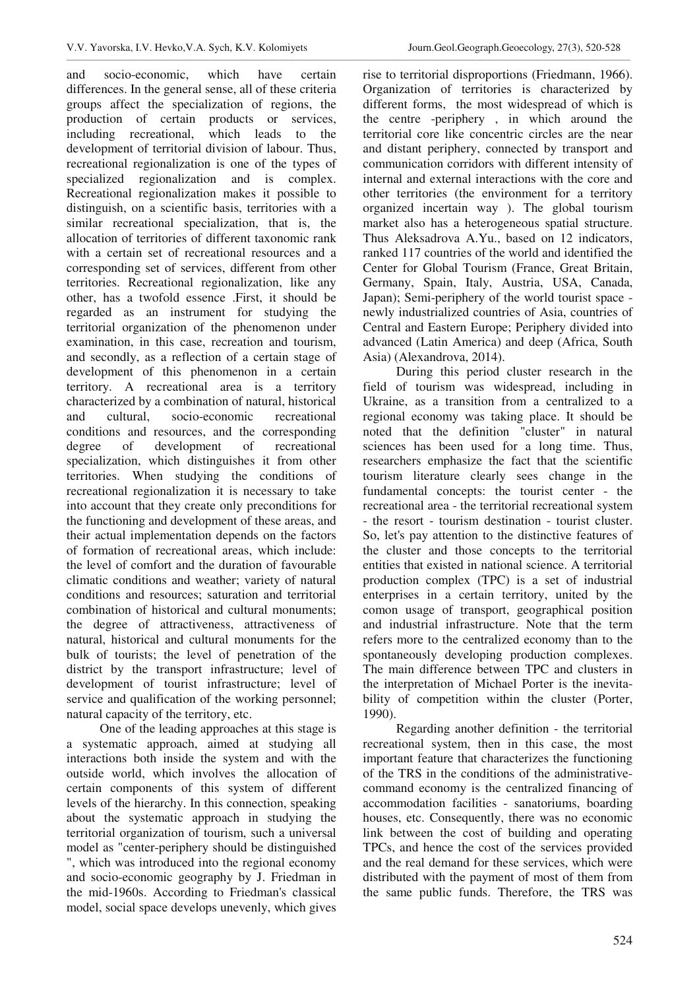\_\_\_\_\_\_\_\_\_\_\_\_\_\_\_\_\_\_\_\_\_\_\_\_\_\_\_\_\_\_\_\_\_\_\_\_\_\_\_\_\_\_\_\_\_\_\_\_\_\_\_\_\_\_\_\_\_\_\_\_\_\_\_\_\_\_\_\_\_\_\_\_\_\_\_\_\_\_\_\_\_\_\_\_\_\_\_\_\_\_\_\_\_\_\_\_\_\_\_\_\_\_\_\_\_\_\_\_\_\_\_\_\_\_\_\_\_\_\_\_\_\_\_\_\_\_\_\_\_\_\_\_\_\_\_\_\_\_\_\_\_\_\_\_\_\_\_\_\_\_\_\_\_\_\_\_\_\_\_\_

and socio-economic, which have certain differences. In the general sense, all of these criteria groups affect the specialization of regions, the production of certain products or services, including recreational, which leads to the development of territorial division of labour. Thus, recreational regionalization is one of the types of specialized regionalization and is complex. Recreational regionalization makes it possible to distinguish, on a scientific basis, territories with a similar recreational specialization, that is, the allocation of territories of different taxonomic rank with a certain set of recreational resources and a corresponding set of services, different from other territories. Recreational regionalization, like any other, has a twofold essence .First, it should be regarded as an instrument for studying the territorial organization of the phenomenon under examination, in this case, recreation and tourism, and secondly, as a reflection of a certain stage of development of this phenomenon in a certain territory. A recreational area is a territory characterized by a combination of natural, historical and cultural, socio-economic recreational conditions and resources, and the corresponding degree of development of recreational specialization, which distinguishes it from other territories. When studying the conditions of recreational regionalization it is necessary to take into account that they create only preconditions for the functioning and development of these areas, and their actual implementation depends on the factors of formation of recreational areas, which include: the level of comfort and the duration of favourable climatic conditions and weather; variety of natural conditions and resources; saturation and territorial combination of historical and cultural monuments; the degree of attractiveness, attractiveness of natural, historical and cultural monuments for the bulk of tourists; the level of penetration of the district by the transport infrastructure; level of development of tourist infrastructure; level of service and qualification of the working personnel; natural capacity of the territory, etc.

One of the leading approaches at this stage is a systematic approach, aimed at studying all interactions both inside the system and with the outside world, which involves the allocation of certain components of this system of different levels of the hierarchy. In this connection, speaking about the systematic approach in studying the territorial organization of tourism, such a universal model as "center-periphery should be distinguished ", which was introduced into the regional economy and socio-economic geography by J. Friedman in the mid-1960s. According to Friedman's classical model, social space develops unevenly, which gives

rise to territorial disproportions (Friedmann, 1966). Organization of territories is characterized by different forms, the most widespread of which is the centre -periphery , in which around the territorial core like concentric circles are the near and distant periphery, connected by transport and communication corridors with different intensity of internal and external interactions with the core and other territories (the environment for a territory organized incertain way ). The global tourism market also has a heterogeneous spatial structure. Thus Aleksadrova A.Yu., based on 12 indicators, ranked 117 countries of the world and identified the Center for Global Tourism (France, Great Britain, Germany, Spain, Italy, Austria, USA, Canada, Japan); Semi-periphery of the world tourist space newly industrialized countries of Asia, countries of Central and Eastern Europe; Periphery divided into advanced (Latin America) and deep (Africa, South Asia) (Alexandrova, 2014).

During this period cluster research in the field of tourism was widespread, including in Ukraine, as a transition from a centralized to a regional economy was taking place. It should be noted that the definition "cluster" in natural sciences has been used for a long time. Thus, researchers emphasize the fact that the scientific tourism literature clearly sees change in the fundamental concepts: the tourist center - the recreational area - the territorial recreational system - the resort - tourism destination - tourist cluster. So, let's pay attention to the distinctive features of the cluster and those concepts to the territorial entities that existed in national science. A territorial production complex (TPC) is a set of industrial enterprises in a certain territory, united by the comon usage of transport, geographical position and industrial infrastructure. Note that the term refers more to the centralized economy than to the spontaneously developing production complexes. The main difference between TPC and clusters in the interpretation of Michael Porter is the inevitability of competition within the cluster (Porter, 1990).

Regarding another definition - the territorial recreational system, then in this case, the most important feature that characterizes the functioning of the TRS in the conditions of the administrativecommand economy is the centralized financing of accommodation facilities - sanatoriums, boarding houses, etc. Consequently, there was no economic link between the cost of building and operating TPCs, and hence the cost of the services provided and the real demand for these services, which were distributed with the payment of most of them from the same public funds. Therefore, the TRS was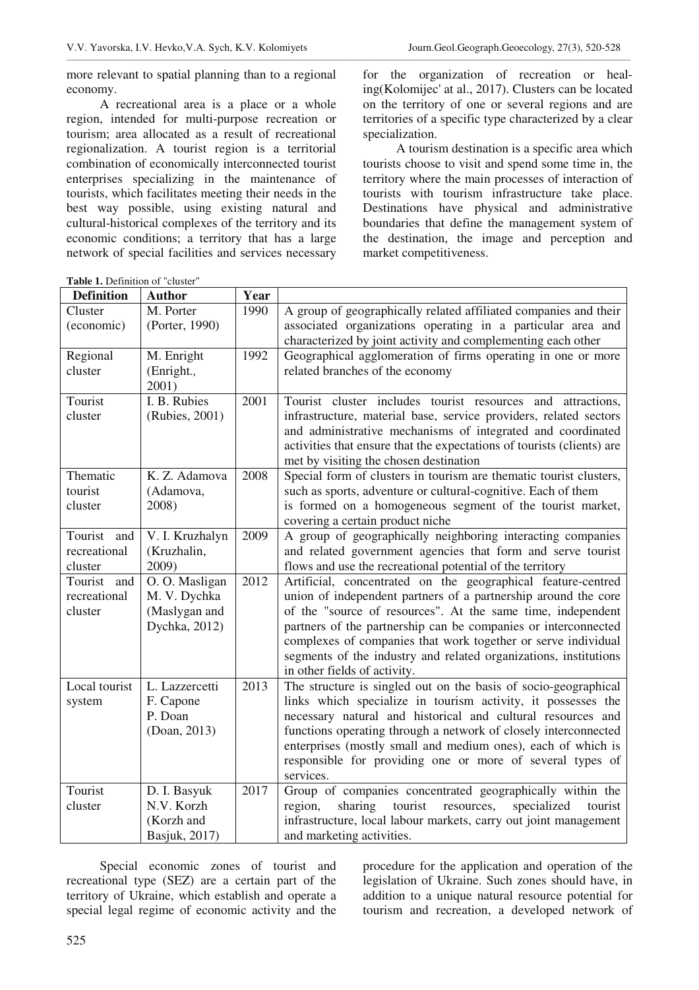more relevant to spatial planning than to a regional economy.

A recreational area is a place or a whole region, intended for multi-purpose recreation or tourism; area allocated as a result of recreational regionalization. A tourist region is a territorial combination of economically interconnected tourist enterprises specializing in the maintenance of tourists, which facilitates meeting their needs in the best way possible, using existing natural and cultural-historical complexes of the territory and its economic conditions; a territory that has a large network of special facilities and services necessary for the organization of recreation or healing(Kolomijec' at al., 2017). Clusters can be located on the territory of one or several regions and are territories of a specific type characterized by a clear specialization.

A tourism destination is a specific area which tourists choose to visit and spend some time in, the territory where the main processes of interaction of tourists with tourism infrastructure take place. Destinations have physical and administrative boundaries that define the management system of the destination, the image and perception and market competitiveness.

**Table 1.** Definition of "cluster"

| <b>Definition</b> | <b>Author</b>   | Year |                                                                        |
|-------------------|-----------------|------|------------------------------------------------------------------------|
| Cluster           | M. Porter       | 1990 | A group of geographically related affiliated companies and their       |
| (economic)        | (Porter, 1990)  |      | associated organizations operating in a particular area and            |
|                   |                 |      | characterized by joint activity and complementing each other           |
| Regional          | M. Enright      | 1992 | Geographical agglomeration of firms operating in one or more           |
| cluster           | (Enright.,      |      | related branches of the economy                                        |
|                   | 2001)           |      |                                                                        |
| Tourist           | I. B. Rubies    | 2001 | Tourist cluster includes tourist resources and attractions,            |
| cluster           | (Rubies, 2001)  |      | infrastructure, material base, service providers, related sectors      |
|                   |                 |      | and administrative mechanisms of integrated and coordinated            |
|                   |                 |      | activities that ensure that the expectations of tourists (clients) are |
|                   |                 |      | met by visiting the chosen destination                                 |
| Thematic          | K. Z. Adamova   | 2008 | Special form of clusters in tourism are thematic tourist clusters,     |
| tourist           | (Adamova,       |      | such as sports, adventure or cultural-cognitive. Each of them          |
| cluster           | 2008)           |      | is formed on a homogeneous segment of the tourist market,              |
|                   |                 |      | covering a certain product niche                                       |
| Tourist and       | V. I. Kruzhalyn | 2009 | A group of geographically neighboring interacting companies            |
| recreational      | (Kruzhalin,     |      | and related government agencies that form and serve tourist            |
| cluster           | 2009)           |      | flows and use the recreational potential of the territory              |
| Tourist and       | O. O. Masligan  | 2012 | Artificial, concentrated on the geographical feature-centred           |
| recreational      | M. V. Dychka    |      | union of independent partners of a partnership around the core         |
| cluster           | (Maslygan and   |      | of the "source of resources". At the same time, independent            |
|                   | Dychka, 2012)   |      | partners of the partnership can be companies or interconnected         |
|                   |                 |      | complexes of companies that work together or serve individual          |
|                   |                 |      | segments of the industry and related organizations, institutions       |
|                   |                 |      | in other fields of activity.                                           |
| Local tourist     | L. Lazzercetti  | 2013 | The structure is singled out on the basis of socio-geographical        |
| system            | F. Capone       |      | links which specialize in tourism activity, it possesses the           |
|                   | P. Doan         |      | necessary natural and historical and cultural resources and            |
|                   | (Doan, 2013)    |      | functions operating through a network of closely interconnected        |
|                   |                 |      | enterprises (mostly small and medium ones), each of which is           |
|                   |                 |      | responsible for providing one or more of several types of              |
|                   |                 |      | services.                                                              |
| Tourist           | D. I. Basyuk    | 2017 | Group of companies concentrated geographically within the              |
| cluster           | N.V. Korzh      |      | tourist<br>sharing<br>resources,<br>specialized<br>tourist<br>region,  |
|                   | (Korzh and      |      | infrastructure, local labour markets, carry out joint management       |
|                   | Basjuk, 2017)   |      | and marketing activities.                                              |

Special economic zones of tourist and recreational type (SEZ) are a certain part of the territory of Ukraine, which establish and operate a special legal regime of economic activity and the

procedure for the application and operation of the legislation of Ukraine. Such zones should have, in addition to a unique natural resource potential for tourism and recreation, a developed network of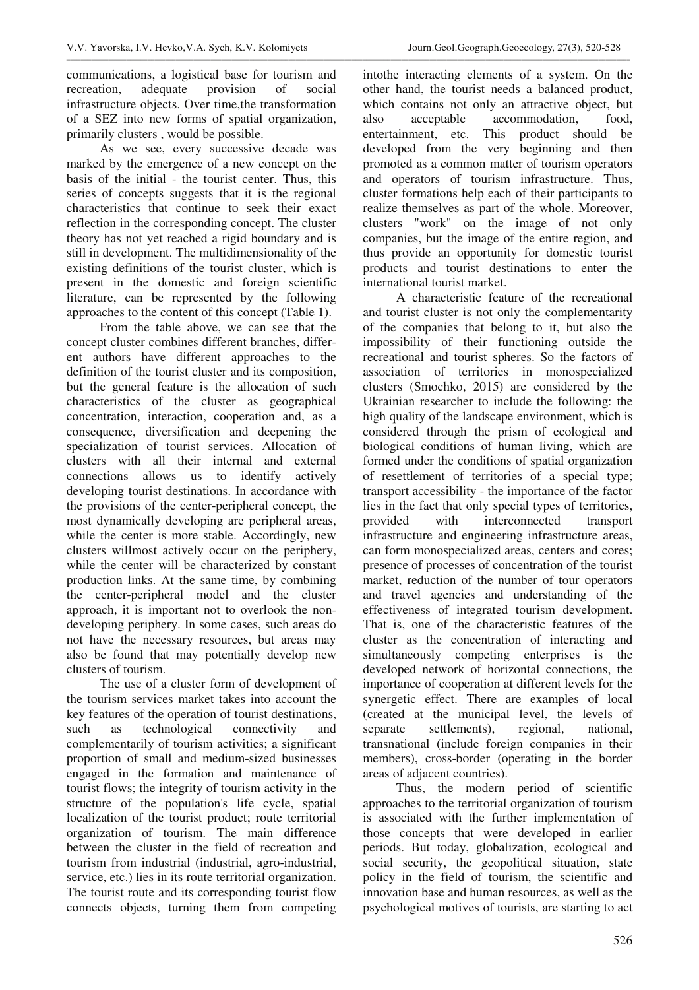communications, a logistical base for tourism and recreation, adequate provision of social infrastructure objects. Over time,the transformation of a SEZ into new forms of spatial organization, primarily clusters , would be possible.

As we see, every successive decade was marked by the emergence of a new concept on the basis of the initial - the tourist center. Thus, this series of concepts suggests that it is the regional characteristics that continue to seek their exact reflection in the corresponding concept. The cluster theory has not yet reached a rigid boundary and is still in development. The multidimensionality of the existing definitions of the tourist cluster, which is present in the domestic and foreign scientific literature, can be represented by the following approaches to the content of this concept (Table 1).

From the table above, we can see that the concept cluster combines different branches, different authors have different approaches to the definition of the tourist cluster and its composition, but the general feature is the allocation of such characteristics of the cluster as geographical concentration, interaction, cooperation and, as a consequence, diversification and deepening the specialization of tourist services. Allocation of clusters with all their internal and external connections allows us to identify actively developing tourist destinations. In accordance with the provisions of the center-peripheral concept, the most dynamically developing are peripheral areas, while the center is more stable. Accordingly, new clusters willmost actively occur on the periphery, while the center will be characterized by constant production links. At the same time, by combining the center-peripheral model and the cluster approach, it is important not to overlook the nondeveloping periphery. In some cases, such areas do not have the necessary resources, but areas may also be found that may potentially develop new clusters of tourism.

The use of a cluster form of development of the tourism services market takes into account the key features of the operation of tourist destinations, such as technological connectivity and complementarily of tourism activities; a significant proportion of small and medium-sized businesses engaged in the formation and maintenance of tourist flows; the integrity of tourism activity in the structure of the population's life cycle, spatial localization of the tourist product; route territorial organization of tourism. The main difference between the cluster in the field of recreation and tourism from industrial (industrial, agro-industrial, service, etc.) lies in its route territorial organization. The tourist route and its corresponding tourist flow connects objects, turning them from competing intothe interacting elements of a system. On the other hand, the tourist needs a balanced product, which contains not only an attractive object, but also acceptable accommodation, food, entertainment, etc. This product should be developed from the very beginning and then promoted as a common matter of tourism operators and operators of tourism infrastructure. Thus, cluster formations help each of their participants to realize themselves as part of the whole. Moreover, clusters "work" on the image of not only companies, but the image of the entire region, and thus provide an opportunity for domestic tourist products and tourist destinations to enter the international tourist market.

A characteristic feature of the recreational and tourist cluster is not only the complementarity of the companies that belong to it, but also the impossibility of their functioning outside the recreational and tourist spheres. So the factors of association of territories in monospecialized clusters (Smochko, 2015) are considered by the Ukrainian researcher to include the following: the high quality of the landscape environment, which is considered through the prism of ecological and biological conditions of human living, which are formed under the conditions of spatial organization of resettlement of territories of a special type; transport accessibility - the importance of the factor lies in the fact that only special types of territories, provided with interconnected transport infrastructure and engineering infrastructure areas, can form monospecialized areas, centers and cores; presence of processes of concentration of the tourist market, reduction of the number of tour operators and travel agencies and understanding of the effectiveness of integrated tourism development. That is, one of the characteristic features of the cluster as the concentration of interacting and simultaneously competing enterprises is the developed network of horizontal connections, the importance of cooperation at different levels for the synergetic effect. There are examples of local (created at the municipal level, the levels of separate settlements), regional, national, transnational (include foreign companies in their members), cross-border (operating in the border areas of adjacent countries).

Thus, the modern period of scientific approaches to the territorial organization of tourism is associated with the further implementation of those concepts that were developed in earlier periods. But today, globalization, ecological and social security, the geopolitical situation, state policy in the field of tourism, the scientific and innovation base and human resources, as well as the psychological motives of tourists, are starting to act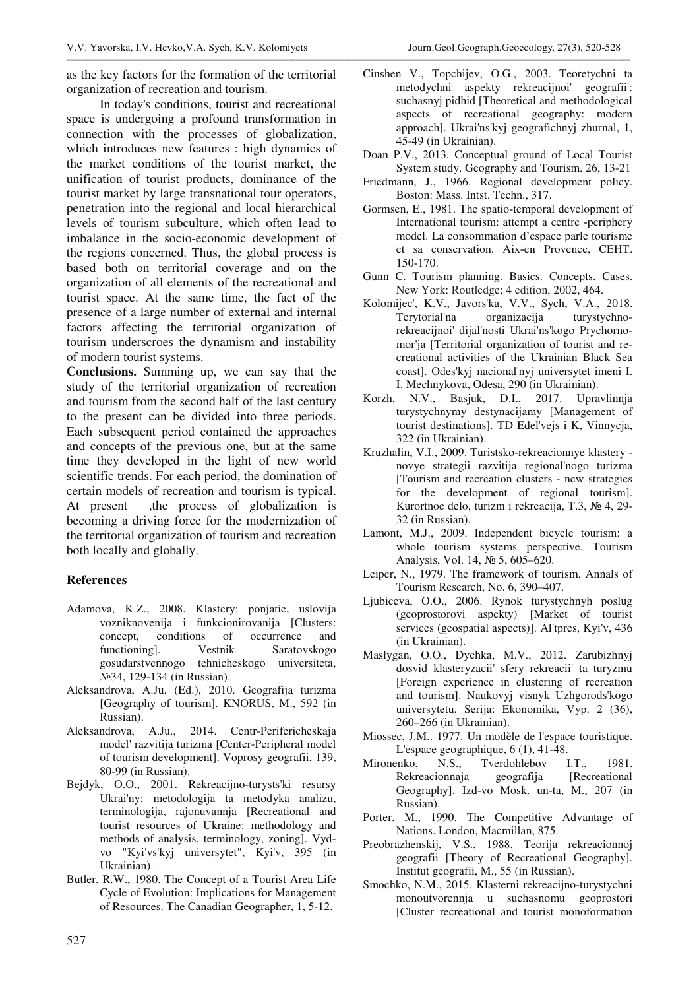as the key factors for the formation of the territorial organization of recreation and tourism.

\_\_\_\_\_\_\_\_\_\_\_\_\_\_\_\_\_\_\_\_\_\_\_\_\_\_\_\_\_\_\_\_\_\_\_\_\_\_\_\_\_\_\_\_\_\_\_\_\_\_\_\_\_\_\_\_\_\_\_\_\_\_\_\_\_\_\_\_\_\_\_\_\_\_\_\_\_\_\_\_\_\_\_\_\_\_\_\_\_\_\_\_\_\_\_\_\_\_\_\_\_\_\_\_\_\_\_\_\_\_\_\_\_\_\_\_\_\_\_\_\_\_\_\_\_\_\_\_\_\_\_\_\_\_\_\_\_\_\_\_\_\_\_\_\_\_\_\_\_\_\_\_\_\_\_\_\_\_\_\_

In today's conditions, tourist and recreational space is undergoing a profound transformation in connection with the processes of globalization, which introduces new features : high dynamics of the market conditions of the tourist market, the unification of tourist products, dominance of the tourist market by large transnational tour operators, penetration into the regional and local hierarchical levels of tourism subculture, which often lead to imbalance in the socio-economic development of the regions concerned. Thus, the global process is based both on territorial coverage and on the organization of all elements of the recreational and tourist space. At the same time, the fact of the presence of a large number of external and internal factors affecting the territorial organization of tourism underscroes the dynamism and instability of modern tourist systems.

**Conclusions.** Summing up, we can say that the study of the territorial organization of recreation and tourism from the second half of the last century to the present can be divided into three periods. Each subsequent period contained the approaches and concepts of the previous one, but at the same time they developed in the light of new world scientific trends. For each period, the domination of certain models of recreation and tourism is typical. At present , the process of globalization is becoming a driving force for the modernization of the territorial organization of tourism and recreation both locally and globally.

## **References**

- Adamova, K.Z., 2008. Klastery: ponjatie, uslovija vozniknovenija i funkcionirovanija [Clusters: concept, conditions of occurrence and functioning]. Vestnik Saratovskogo gosudarstvennogo tehnicheskogo universiteta, No 34, 129-134 (in Russian).
- Aleksandrova, A.Ju. (Ed.), 2010. Geografija turizma [Geography of tourism]. KNORUS, M., 592 (in Russian).
- Aleksandrova, A.Ju., 2014. Centr-Perifericheskaja model' razvitija turizma [Center-Peripheral model of tourism development]. Voprosy geografii, 139, 80-99 (in Russian).
- Bejdyk, O.O., 2001. Rekreacijno-turysts'ki resursy Ukrai'ny: metodologija ta metodyka analizu, terminologija, rajonuvannja [Recreational and tourist resources of Ukraine: methodology and methods of analysis, terminology, zoning]. Vydvo "Kyi'vs'kyj universytet", Kyi'v, 395 (in Ukrainian).
- Butler, R.W., 1980. The Concept of a Tourist Area Life Cycle of Evolution: Implications for Management of Resources. The Canadian Geographer, 1, 5-12.
- Cinshen V., Topchijev, O.G., 2003. Teoretychni ta metodychni aspekty rekreacijnoi' geografii': suchasnyj pidhid [Theoretical and methodological aspects of recreational geography: modern approach]. Ukrai'ns'kyj geografichnyj zhurnal, 1, 45-49 (in Ukrainian).
- Doan P.V., 2013. Conceptual ground of Local Tourist System study. Geography and Tourism. 26, 13-21
- Friedmann, J., 1966. Regional development policy. Boston: Mass. Intst. Techn., 317.
- Gormsen, E., 1981. The spatio-temporal development of International tourism: attempt a centre -periphery model. La consommation d'espace parle tourisme et sa conservation. Aix-en Provence, CEHT. 150-170.
- Gunn C. Tourism planning. Basics. Concepts. Cases. New York: Routledge; 4 edition, 2002, 464.
- Kolomijec', K.V., Javors'ka, V.V., Sych, V.A., 2018. Terytorial'na organizacija turystychnorekreacijnoi' dijal'nosti Ukrai'ns'kogo Prychornomor'ja [Territorial organization of tourist and recreational activities of the Ukrainian Black Sea coast]. Odes'kyj nacional'nyj universytet imeni I. I. Mechnykova, Odesa, 290 (in Ukrainian).
- Korzh, N.V., Basjuk, D.I., 2017. Upravlinnja turystychnymy destynacijamy [Management of tourist destinations]. TD Edel'vejs i K, Vinnycja, 322 (in Ukrainian).
- Kruzhalin, V.I., 2009. Turistsko-rekreacionnye klastery novye strategii razvitija regional'nogo turizma [Tourism and recreation clusters - new strategies for the development of regional tourism]. Kurortnoe delo, turizm i rekreacija, T.3, № 4, 29-32 (in Russian).
- Lamont, M.J., 2009. Independent bicycle tourism: a whole tourism systems perspective. Tourism Analysis, Vol. 14, № 5, 605–620.
- Leiper, N., 1979. The framework of tourism. Annals of Tourism Research, No. 6, 390–407.
- Ljubiceva, O.O., 2006. Rynok turystychnyh poslug (geoprostorovi aspekty) [Market of tourist services (geospatial aspects)]. Al'tpres, Kyi'v, 436 (in Ukrainian).
- Maslygan, O.O., Dychka, M.V., 2012. Zarubizhnyj dosvid klasteryzacii' sfery rekreacii' ta turyzmu [Foreign experience in clustering of recreation and tourism]. Naukovyj visnyk Uzhgorods'kogo universytetu. Serija: Ekonomika, Vyp. 2 (36), 260–266 (in Ukrainian).
- Miossec, J.M.. 1977. Un modèle de l'espace touristique. L'espace geographique,  $6(1)$ , 41-48.
- Mironenko, N.S., Tverdohlebov I.T., 1981. Rekreacionnaja geografija [Recreational Geography]. Izd-vo Mosk. un-ta, M., 207 (in Russian).
- Porter, M., 1990. The Competitive Advantage of Nations. London, Macmillan, 875.
- Preobrazhenskij, V.S., 1988. Teorija rekreacionnoj geografii [Theory of Recreational Geography]. Institut geografii, M., 55 (in Russian).
- Smochko, N.M., 2015. Klasterni rekreacijno-turystychni monoutvorennja u suchasnomu geoprostori [Cluster recreational and tourist monoformation